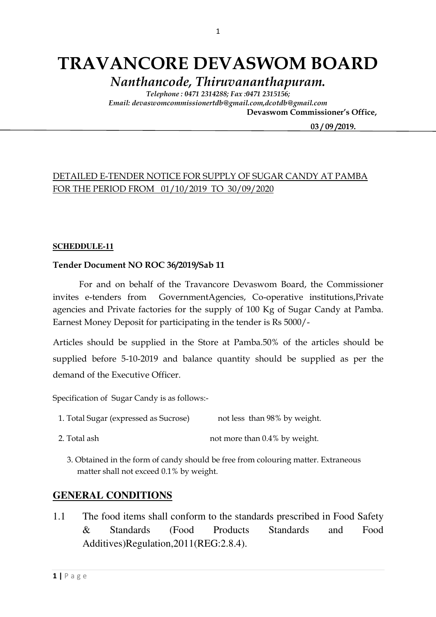# TRAVANCORE DEVASWOM BOARD

Nanthancode, Thiruvananthapuram.

Telephone : 0471 2314288; Fax :0471 2315156; Email: devaswomcommissionertdb@gmail.com,dcotdb@gmail.com Devaswom Commissioner's Office,

03 / 09 /2019.

### DETAILED E-TENDER NOTICE FOR SUPPLY OF SUGAR CANDY AT PAMBA FOR THE PERIOD FROM 01/10/2019 TO 30/09/2020

#### **SCHEDDULE-11**

### Tender Document NO ROC 36/2019/Sab 11

For and on behalf of the Travancore Devaswom Board, the Commissioner invites e-tenders from GovernmentAgencies, Co-operative institutions,Private agencies and Private factories for the supply of 100 Kg of Sugar Candy at Pamba. Earnest Money Deposit for participating in the tender is Rs 5000/-

Articles should be supplied in the Store at Pamba.50% of the articles should be supplied before 5-10-2019 and balance quantity should be supplied as per the demand of the Executive Officer.

Specification of Sugar Candy is as follows:-

- 1. Total Sugar (expressed as Sucrose) not less than 98% by weight.
- 2. Total ash not more than  $0.4\%$  by weight.
	- 3. Obtained in the form of candy should be free from colouring matter. Extraneous matter shall not exceed 0.1% by weight.

### **GENERAL CONDITIONS**

1.1 The food items shall conform to the standards prescribed in Food Safety & Standards (Food Products Standards and Food Additives)Regulation,2011(REG:2.8.4).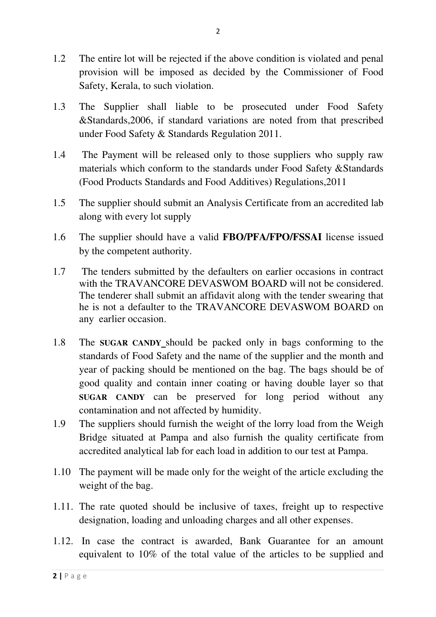- 1.2 The entire lot will be rejected if the above condition is violated and penal provision will be imposed as decided by the Commissioner of Food Safety, Kerala, to such violation.
- 1.3 The Supplier shall liable to be prosecuted under Food Safety &Standards,2006, if standard variations are noted from that prescribed under Food Safety & Standards Regulation 2011.
- 1.4 The Payment will be released only to those suppliers who supply raw materials which conform to the standards under Food Safety &Standards (Food Products Standards and Food Additives) Regulations,2011
- 1.5 The supplier should submit an Analysis Certificate from an accredited lab along with every lot supply
- 1.6 The supplier should have a valid **FBO/PFA/FPO/FSSAI** license issued by the competent authority.
- 1.7 The tenders submitted by the defaulters on earlier occasions in contract with the TRAVANCORE DEVASWOM BOARD will not be considered. The tenderer shall submit an affidavit along with the tender swearing that he is not a defaulter to the TRAVANCORE DEVASWOM BOARD on any earlier occasion.
- 1.8 The **SUGAR CANDY** should be packed only in bags conforming to the standards of Food Safety and the name of the supplier and the month and year of packing should be mentioned on the bag. The bags should be of good quality and contain inner coating or having double layer so that **SUGAR CANDY** can be preserved for long period without any contamination and not affected by humidity.
- 1.9 The suppliers should furnish the weight of the lorry load from the Weigh Bridge situated at Pampa and also furnish the quality certificate from accredited analytical lab for each load in addition to our test at Pampa.
- 1.10 The payment will be made only for the weight of the article excluding the weight of the bag.
- 1.11. The rate quoted should be inclusive of taxes, freight up to respective designation, loading and unloading charges and all other expenses.
- 1.12. In case the contract is awarded, Bank Guarantee for an amount equivalent to 10% of the total value of the articles to be supplied and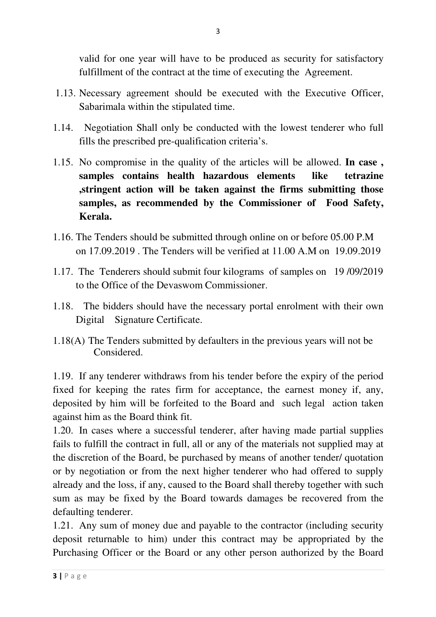valid for one year will have to be produced as security for satisfactory fulfillment of the contract at the time of executing the Agreement.

- 1.13. Necessary agreement should be executed with the Executive Officer, Sabarimala within the stipulated time.
- 1.14. Negotiation Shall only be conducted with the lowest tenderer who full fills the prescribed pre-qualification criteria's.
- 1.15. No compromise in the quality of the articles will be allowed. **In case , samples contains health hazardous elements like tetrazine ,stringent action will be taken against the firms submitting those samples, as recommended by the Commissioner of Food Safety, Kerala.**
- 1.16. The Tenders should be submitted through online on or before 05.00 P.M on 17.09.2019 . The Tenders will be verified at 11.00 A.M on 19.09.2019
- 1.17. The Tenderers should submit four kilograms of samples on 19 /09/2019 to the Office of the Devaswom Commissioner.
- 1.18. The bidders should have the necessary portal enrolment with their own Digital Signature Certificate.
- 1.18(A) The Tenders submitted by defaulters in the previous years will not be Considered.

1.19. If any tenderer withdraws from his tender before the expiry of the period fixed for keeping the rates firm for acceptance, the earnest money if, any, deposited by him will be forfeited to the Board and such legal action taken against him as the Board think fit.

1.20. In cases where a successful tenderer, after having made partial supplies fails to fulfill the contract in full, all or any of the materials not supplied may at the discretion of the Board, be purchased by means of another tender/ quotation or by negotiation or from the next higher tenderer who had offered to supply already and the loss, if any, caused to the Board shall thereby together with such sum as may be fixed by the Board towards damages be recovered from the defaulting tenderer.

1.21. Any sum of money due and payable to the contractor (including security deposit returnable to him) under this contract may be appropriated by the Purchasing Officer or the Board or any other person authorized by the Board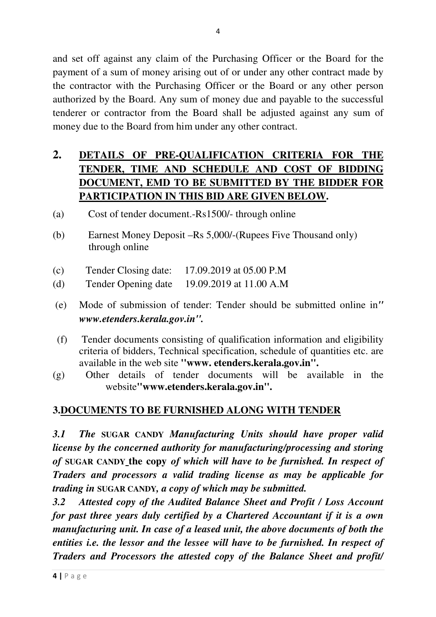and set off against any claim of the Purchasing Officer or the Board for the payment of a sum of money arising out of or under any other contract made by the contractor with the Purchasing Officer or the Board or any other person authorized by the Board. Any sum of money due and payable to the successful tenderer or contractor from the Board shall be adjusted against any sum of money due to the Board from him under any other contract.

# **2. DETAILS OF PRE-QUALIFICATION CRITERIA FOR THE TENDER, TIME AND SCHEDULE AND COST OF BIDDING DOCUMENT, EMD TO BE SUBMITTED BY THE BIDDER FOR PARTICIPATION IN THIS BID ARE GIVEN BELOW.**

- (a) Cost of tender document.-Rs1500/- through online
- (b) Earnest Money Deposit –Rs 5,000/-(Rupees Five Thousand only) through online
- (c) Tender Closing date: 17.09.2019 at 05.00 P.M
- (d) Tender Opening date 19.09.2019 at 11.00 A.M
- (e) Mode of submission of tender: Tender should be submitted online in*'' www.etenders.kerala.gov.in''.*
- (f) Tender documents consisting of qualification information and eligibility criteria of bidders, Technical specification, schedule of quantities etc. are available in the web site **''www. etenders.kerala.gov.in''.**
- (g) Other details of tender documents will be available in the website**''www.etenders.kerala.gov.in''.**

# **3.DOCUMENTS TO BE FURNISHED ALONG WITH TENDER**

*3.1 The* **SUGAR CANDY** *Manufacturing Units should have proper valid license by the concerned authority for manufacturing/processing and storing of* **SUGAR CANDY the copy** *of which will have to be furnished. In respect of Traders and processors a valid trading license as may be applicable for trading in* **SUGAR CANDY***, a copy of which may be submitted.* 

*3.2 Attested copy of the Audited Balance Sheet and Profit / Loss Account for past three years duly certified by a Chartered Accountant if it is a own manufacturing unit. In case of a leased unit, the above documents of both the entities i.e. the lessor and the lessee will have to be furnished. In respect of Traders and Processors the attested copy of the Balance Sheet and profit/*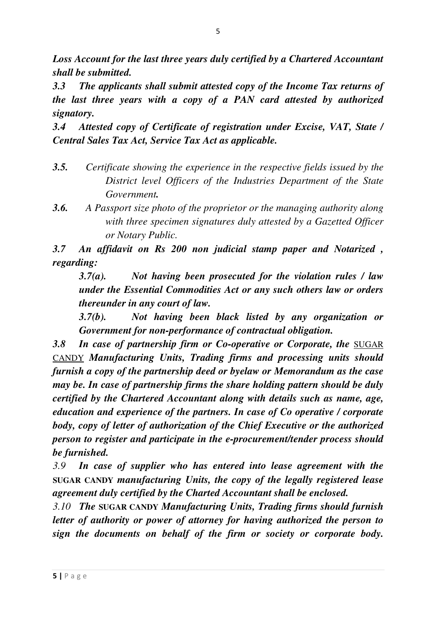*Loss Account for the last three years duly certified by a Chartered Accountant shall be submitted.* 

*3.3 The applicants shall submit attested copy of the Income Tax returns of the last three years with a copy of a PAN card attested by authorized signatory.* 

*3.4 Attested copy of Certificate of registration under Excise, VAT, State / Central Sales Tax Act, Service Tax Act as applicable.* 

- *3.5. Certificate showing the experience in the respective fields issued by the District level Officers of the Industries Department of the State Government.*
- *3.6. A Passport size photo of the proprietor or the managing authority along with three specimen signatures duly attested by a Gazetted Officer or Notary Public.*

*3.7 An affidavit on Rs 200 non judicial stamp paper and Notarized , regarding:* 

*3.7(a). Not having been prosecuted for the violation rules / law under the Essential Commodities Act or any such others law or orders thereunder in any court of law.* 

*3.7(b). Not having been black listed by any organization or Government for non-performance of contractual obligation.* 

*3.8 In case of partnership firm or Co-operative or Corporate, the* SUGAR CANDY *Manufacturing Units, Trading firms and processing units should furnish a copy of the partnership deed or byelaw or Memorandum as the case may be. In case of partnership firms the share holding pattern should be duly certified by the Chartered Accountant along with details such as name, age, education and experience of the partners. In case of Co operative / corporate body, copy of letter of authorization of the Chief Executive or the authorized person to register and participate in the e-procurement/tender process should be furnished.* 

*3.9 In case of supplier who has entered into lease agreement with the*  **SUGAR CANDY** *manufacturing Units, the copy of the legally registered lease agreement duly certified by the Charted Accountant shall be enclosed.* 

*3.10 The* **SUGAR CANDY** *Manufacturing Units, Trading firms should furnish letter of authority or power of attorney for having authorized the person to sign the documents on behalf of the firm or society or corporate body.*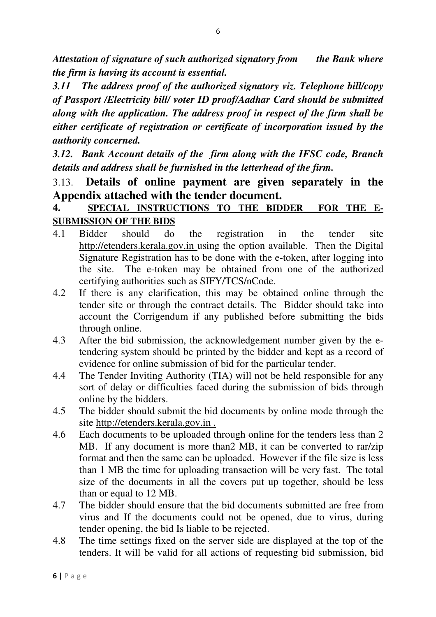*Attestation of signature of such authorized signatory from the Bank where the firm is having its account is essential.* 

*3.11 The address proof of the authorized signatory viz. Telephone bill/copy of Passport /Electricity bill/ voter ID proof/Aadhar Card should be submitted along with the application. The address proof in respect of the firm shall be either certificate of registration or certificate of incorporation issued by the authority concerned.* 

*3.12. Bank Account details of the firm along with the IFSC code, Branch details and address shall be furnished in the letterhead of the firm.* 

## 3.13. **Details of online payment are given separately in the Appendix attached with the tender document.**

## **4. SPECIAL INSTRUCTIONS TO THE BIDDER FOR THE E-SUBMISSION OF THE BIDS**

- 4.1 Bidder should do the registration in the tender site http://etenders.kerala.gov.in using the option available. Then the Digital Signature Registration has to be done with the e-token, after logging into the site. The e-token may be obtained from one of the authorized certifying authorities such as SIFY/TCS/nCode.
- 4.2 If there is any clarification, this may be obtained online through the tender site or through the contract details. The Bidder should take into account the Corrigendum if any published before submitting the bids through online.
- 4.3 After the bid submission, the acknowledgement number given by the etendering system should be printed by the bidder and kept as a record of evidence for online submission of bid for the particular tender.
- 4.4 The Tender Inviting Authority (TIA) will not be held responsible for any sort of delay or difficulties faced during the submission of bids through online by the bidders.
- 4.5 The bidder should submit the bid documents by online mode through the site http://etenders.kerala.gov.in .
- 4.6 Each documents to be uploaded through online for the tenders less than 2 MB. If any document is more than2 MB, it can be converted to rar/zip format and then the same can be uploaded. However if the file size is less than 1 MB the time for uploading transaction will be very fast. The total size of the documents in all the covers put up together, should be less than or equal to 12 MB.
- 4.7 The bidder should ensure that the bid documents submitted are free from virus and If the documents could not be opened, due to virus, during tender opening, the bid Is liable to be rejected.
- 4.8 The time settings fixed on the server side are displayed at the top of the tenders. It will be valid for all actions of requesting bid submission, bid